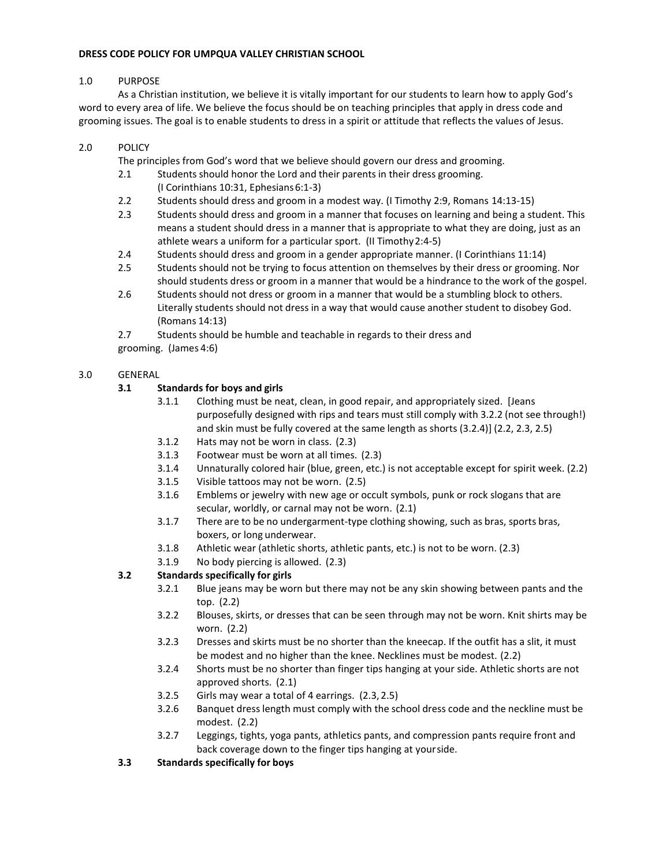#### **DRESS CODE POLICY FOR UMPQUA VALLEY CHRISTIAN SCHOOL**

#### 1.0 PURPOSE

As a Christian institution, we believe it is vitally important for our students to learn how to apply God's word to every area of life. We believe the focus should be on teaching principles that apply in dress code and grooming issues. The goal is to enable students to dress in a spirit or attitude that reflects the values of Jesus.

# 2.0 POLICY

The principles from God's word that we believe should govern our dress and grooming.

- 2.1 Students should honor the Lord and their parents in their dress grooming. (I Corinthians 10:31, Ephesians6:1-3)
- 2.2 Students should dress and groom in a modest way. (I Timothy 2:9, Romans 14:13-15)
- 2.3 Students should dress and groom in a manner that focuses on learning and being a student. This means a student should dress in a manner that is appropriate to what they are doing, just as an athlete wears a uniform for a particular sport. (II Timothy2:4-5)
- 2.4 Students should dress and groom in a gender appropriate manner. (I Corinthians 11:14)
- 2.5 Students should not be trying to focus attention on themselves by their dress or grooming. Nor should students dress or groom in a manner that would be a hindrance to the work of the gospel.
- 2.6 Students should not dress or groom in a manner that would be a stumbling block to others. Literally students should not dress in a way that would cause another student to disobey God. (Romans 14:13)

2.7 Students should be humble and teachable in regards to their dress and grooming. (James 4:6)

# 3.0 GENERAL

# **3.1 Standards for boys and girls**

- 3.1.1 Clothing must be neat, clean, in good repair, and appropriately sized. [Jeans purposefully designed with rips and tears must still comply with 3.2.2 (not see through!) and skin must be fully covered at the same length as shorts (3.2.4)] (2.2, 2.3, 2.5)
- 3.1.2 Hats may not be worn in class. (2.3)
- 3.1.3 Footwear must be worn at all times. (2.3)
- 3.1.4 Unnaturally colored hair (blue, green, etc.) is not acceptable except for spirit week. (2.2)
- 3.1.5 Visible tattoos may not be worn. (2.5)
- 3.1.6 Emblems or jewelry with new age or occult symbols, punk or rock slogans that are secular, worldly, or carnal may not be worn. (2.1)
- 3.1.7 There are to be no undergarment-type clothing showing, such as bras, sports bras, boxers, or long underwear.
- 3.1.8 Athletic wear (athletic shorts, athletic pants, etc.) is not to be worn. (2.3)
- 3.1.9 No body piercing is allowed. (2.3)

# **3.2 Standards specifically for girls**

- 3.2.1 Blue jeans may be worn but there may not be any skin showing between pants and the top. (2.2)
- 3.2.2 Blouses, skirts, or dresses that can be seen through may not be worn. Knit shirts may be worn. (2.2)
- 3.2.3 Dresses and skirts must be no shorter than the kneecap. If the outfit has a slit, it must be modest and no higher than the knee. Necklines must be modest. (2.2)
- 3.2.4 Shorts must be no shorter than finger tips hanging at your side. Athletic shorts are not approved shorts. (2.1)
- 3.2.5 Girls may wear a total of 4 earrings. (2.3, 2.5)
- 3.2.6 Banquet dress length must comply with the school dress code and the neckline must be modest. (2.2)
- 3.2.7 Leggings, tights, yoga pants, athletics pants, and compression pants require front and back coverage down to the finger tips hanging at yourside.
- **3.3 Standards specifically for boys**